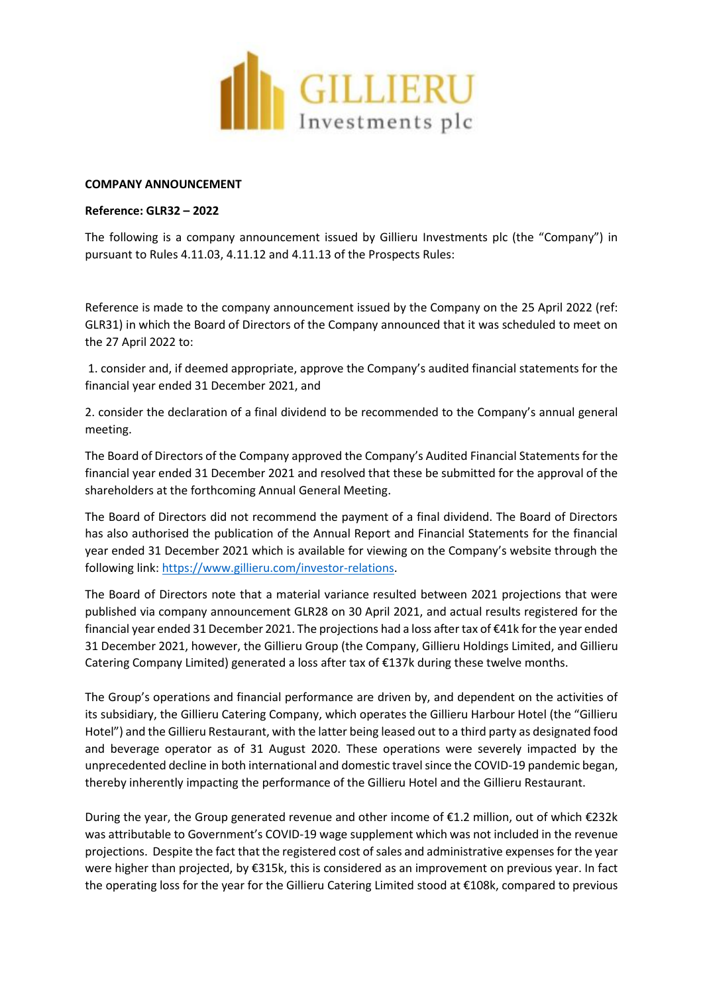

## **COMPANY ANNOUNCEMENT**

## **Reference: GLR32 – 2022**

The following is a company announcement issued by Gillieru Investments plc (the "Company") in pursuant to Rules 4.11.03, 4.11.12 and 4.11.13 of the Prospects Rules:

Reference is made to the company announcement issued by the Company on the 25 April 2022 (ref: GLR31) in which the Board of Directors of the Company announced that it was scheduled to meet on the 27 April 2022 to:

1. consider and, if deemed appropriate, approve the Company's audited financial statements for the financial year ended 31 December 2021, and

2. consider the declaration of a final dividend to be recommended to the Company's annual general meeting.

The Board of Directors of the Company approved the Company's Audited Financial Statements for the financial year ended 31 December 2021 and resolved that these be submitted for the approval of the shareholders at the forthcoming Annual General Meeting.

The Board of Directors did not recommend the payment of a final dividend. The Board of Directors has also authorised the publication of the Annual Report and Financial Statements for the financial year ended 31 December 2021 which is available for viewing on the Company's website through the following link: [https://www.gillieru.com/investor-relations.](https://www.gillieru.com/investor-relations)

The Board of Directors note that a material variance resulted between 2021 projections that were published via company announcement GLR28 on 30 April 2021, and actual results registered for the financial year ended 31 December 2021. The projections had a loss after tax of €41k for the year ended 31 December 2021, however, the Gillieru Group (the Company, Gillieru Holdings Limited, and Gillieru Catering Company Limited) generated a loss after tax of €137k during these twelve months.

The Group's operations and financial performance are driven by, and dependent on the activities of its subsidiary, the Gillieru Catering Company, which operates the Gillieru Harbour Hotel (the "Gillieru Hotel") and the Gillieru Restaurant, with the latter being leased out to a third party as designated food and beverage operator as of 31 August 2020. These operations were severely impacted by the unprecedented decline in both international and domestic travel since the COVID-19 pandemic began, thereby inherently impacting the performance of the Gillieru Hotel and the Gillieru Restaurant.

During the year, the Group generated revenue and other income of €1.2 million, out of which €232k was attributable to Government's COVID-19 wage supplement which was not included in the revenue projections. Despite the fact that the registered cost of sales and administrative expenses for the year were higher than projected, by €315k, this is considered as an improvement on previous year. In fact the operating loss for the year for the Gillieru Catering Limited stood at €108k, compared to previous